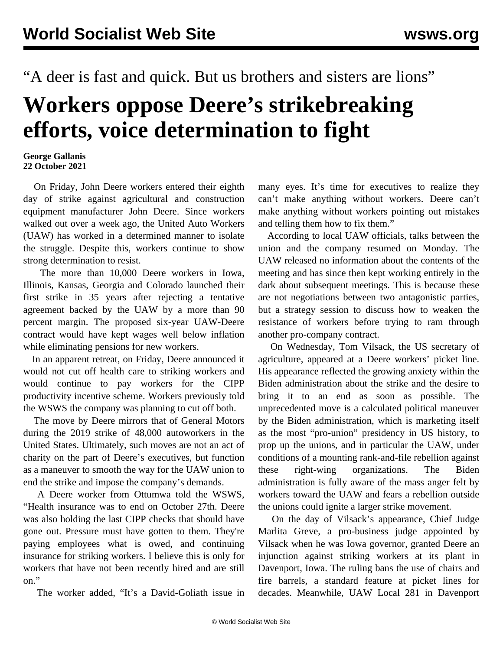"A deer is fast and quick. But us brothers and sisters are lions"

## **Workers oppose Deere's strikebreaking efforts, voice determination to fight**

## **George Gallanis 22 October 2021**

 On Friday, John Deere workers entered their eighth day of strike against agricultural and construction equipment manufacturer John Deere. Since workers walked out over a week ago, the United Auto Workers (UAW) has worked in a determined manner to isolate the struggle. Despite this, workers continue to show strong determination to resist.

 The more than 10,000 Deere workers in Iowa, Illinois, Kansas, Georgia and Colorado launched their first strike in 35 years after rejecting a tentative agreement backed by the UAW by a more than 90 percent margin. The proposed six-year UAW-Deere contract would have kept wages well below inflation while eliminating pensions for new workers.

 In an apparent retreat, on Friday, Deere announced it would not cut off health care to striking workers and would continue to pay workers for the CIPP productivity incentive scheme. Workers previously told the WSWS the company was planning to cut off both.

 The move by Deere mirrors that of General Motors during the 2019 strike of 48,000 autoworkers in the United States. Ultimately, such moves are not an act of charity on the part of Deere's executives, but function as a maneuver to smooth the way for the UAW union to end the strike and impose the company's demands.

 A Deere worker from Ottumwa told the WSWS, "Health insurance was to end on October 27th. Deere was also holding the last CIPP checks that should have gone out. Pressure must have gotten to them. They're paying employees what is owed, and continuing insurance for striking workers. I believe this is only for workers that have not been recently hired and are still on."

The worker added, "It's a David-Goliath issue in

many eyes. It's time for executives to realize they can't make anything without workers. Deere can't make anything without workers pointing out mistakes and telling them how to fix them."

 According to local UAW officials, talks between the union and the company resumed on Monday. The UAW released no information about the contents of the meeting and has since then kept working entirely in the dark about subsequent meetings. This is because these are not negotiations between two antagonistic parties, but a strategy session to discuss how to weaken the resistance of workers before trying to ram through another pro-company contract.

 On Wednesday, Tom Vilsack, the US secretary of agriculture, appeared at a Deere workers' picket line. His appearance reflected the growing anxiety within the Biden administration about the strike and the desire to bring it to an end as soon as possible. The unprecedented move is a calculated political maneuver by the Biden administration, which is marketing itself as the most "pro-union" presidency in US history, to prop up the unions, and in particular the UAW, under conditions of a mounting rank-and-file rebellion against these right-wing organizations. The Biden administration is fully aware of the mass anger felt by workers toward the UAW and fears a rebellion outside the unions could ignite a larger strike movement.

 On the day of Vilsack's appearance, Chief Judge Marlita Greve, a pro-business judge appointed by Vilsack when he was Iowa governor, granted Deere an injunction against striking workers at its plant in Davenport, Iowa. The ruling bans the use of chairs and fire barrels, a standard feature at picket lines for decades. Meanwhile, UAW Local 281 in Davenport